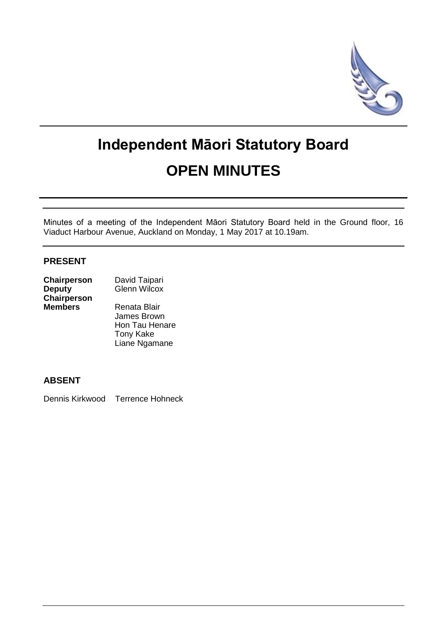

# **Independent Māori Statutory Board OPEN MINUTES**

Minutes of a meeting of the Independent Māori Statutory Board held in the Ground floor, 16 Viaduct Harbour Avenue, Auckland on Monday, 1 May 2017 at 10.19am.

## **PRESENT**

| Chairperson        | David Taipari       |  |
|--------------------|---------------------|--|
| <b>Deputy</b>      | <b>Glenn Wilcox</b> |  |
| <b>Chairperson</b> |                     |  |
| <b>Members</b>     | Renata Blair        |  |
|                    | James Brown         |  |
|                    | Hon Tau Henare      |  |

Tony Kake Liane Ngamane

**ABSENT**

Dennis Kirkwood Terrence Hohneck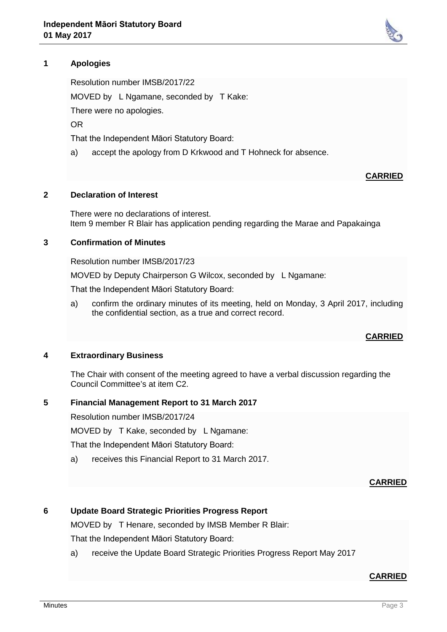# **1 Apologies**

Resolution number IMSB/2017/22

MOVED by L Ngamane, seconded by T Kake:

There were no apologies.

OR

That the Independent Māori Statutory Board:

a) accept the apology from D Krkwood and T Hohneck for absence.

#### **CARRIED**

#### **2 Declaration of Interest**

There were no declarations of interest. Item 9 member R Blair has application pending regarding the Marae and Papakainga

## **3 Confirmation of Minutes**

Resolution number IMSB/2017/23

MOVED by Deputy Chairperson G Wilcox, seconded by L Ngamane:

That the Independent Māori Statutory Board:

a) confirm the ordinary minutes of its meeting, held on Monday, 3 April 2017, including the confidential section, as a true and correct record.

#### **CARRIED**

## **4 Extraordinary Business**

The Chair with consent of the meeting agreed to have a verbal discussion regarding the Council Committee's at item C2.

#### **5 Financial Management Report to 31 March 2017**

Resolution number IMSB/2017/24

MOVED by T Kake, seconded by L Ngamane:

That the Independent Māori Statutory Board:

a) receives this Financial Report to 31 March 2017.

## **CARRIED**

## **6 Update Board Strategic Priorities Progress Report**

MOVED by T Henare, seconded by IMSB Member R Blair:

That the Independent Māori Statutory Board:

a) receive the Update Board Strategic Priorities Progress Report May 2017

# **CARRIED**

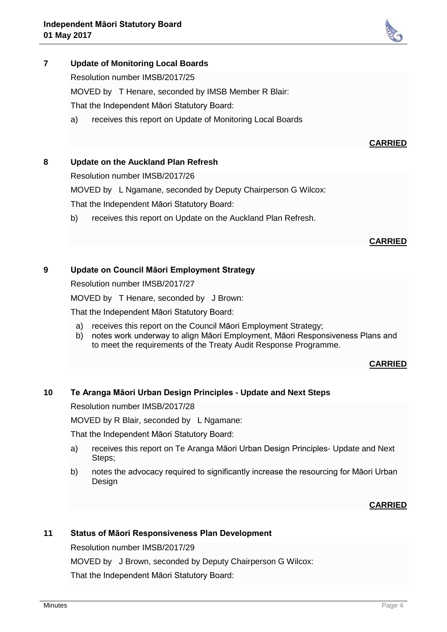

Resolution number IMSB/2017/25

MOVED by T Henare, seconded by IMSB Member R Blair:

That the Independent Māori Statutory Board:

a) receives this report on Update of Monitoring Local Boards

## **CARRIED**

## **8 Update on the Auckland Plan Refresh**

Resolution number IMSB/2017/26

MOVED by L Ngamane, seconded by Deputy Chairperson G Wilcox:

That the Independent Māori Statutory Board:

b) receives this report on Update on the Auckland Plan Refresh.

## **CARRIED**

## **9 Update on Council Māori Employment Strategy**

Resolution number IMSB/2017/27

MOVED by T Henare, seconded by J Brown:

That the Independent Māori Statutory Board:

- a) receives this report on the Council Māori Employment Strategy;
- b) notes work underway to align Māori Employment, Māori Responsiveness Plans and to meet the requirements of the Treaty Audit Response Programme.

# **CARRIED**

# **10 Te Aranga Māori Urban Design Principles - Update and Next Steps**

Resolution number IMSB/2017/28

MOVED by R Blair, seconded by L Ngamane:

That the Independent Māori Statutory Board:

- a) receives this report on Te Aranga Māori Urban Design Principles- Update and Next Steps;
- b) notes the advocacy required to significantly increase the resourcing for Māori Urban Design

# **CARRIED**

## **11 Status of Māori Responsiveness Plan Development**

Resolution number IMSB/2017/29 MOVED by J Brown, seconded by Deputy Chairperson G Wilcox: That the Independent Māori Statutory Board: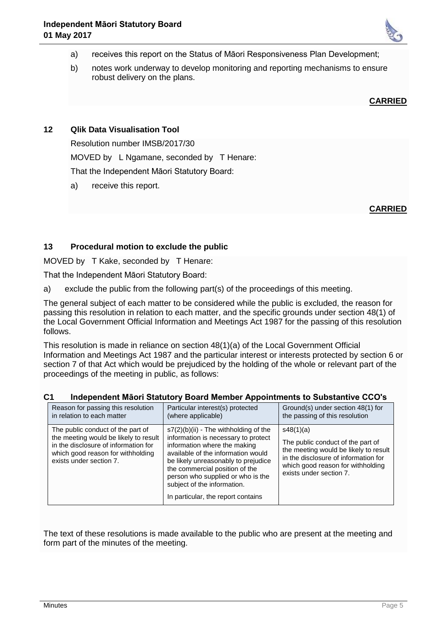

- a) receives this report on the Status of Māori Responsiveness Plan Development;
- b) notes work underway to develop monitoring and reporting mechanisms to ensure robust delivery on the plans.

#### **CARRIED**

# **12 Qlik Data Visualisation Tool**

Resolution number IMSB/2017/30 MOVED by L Ngamane, seconded by T Henare:

That the Independent Māori Statutory Board:

a) receive this report.

## **CARRIED**

## **13 Procedural motion to exclude the public**

MOVED by T Kake, seconded by T Henare:

That the Independent Māori Statutory Board:

a) exclude the public from the following part(s) of the proceedings of this meeting.

The general subject of each matter to be considered while the public is excluded, the reason for passing this resolution in relation to each matter, and the specific grounds under section 48(1) of the Local Government Official Information and Meetings Act 1987 for the passing of this resolution follows.

This resolution is made in reliance on section 48(1)(a) of the Local Government Official Information and Meetings Act 1987 and the particular interest or interests protected by section 6 or section 7 of that Act which would be prejudiced by the holding of the whole or relevant part of the proceedings of the meeting in public, as follows:

## **C1 Independent Māori Statutory Board Member Appointments to Substantive CCO's**

| Reason for passing this resolution                                                                                                                                                 | Particular interest(s) protected                                                                                                                                                                                                                                                                                                      | Ground(s) under section 48(1) for |
|------------------------------------------------------------------------------------------------------------------------------------------------------------------------------------|---------------------------------------------------------------------------------------------------------------------------------------------------------------------------------------------------------------------------------------------------------------------------------------------------------------------------------------|-----------------------------------|
| in relation to each matter                                                                                                                                                         | (where applicable)                                                                                                                                                                                                                                                                                                                    | the passing of this resolution    |
| The public conduct of the part of<br>the meeting would be likely to result<br>in the disclosure of information for<br>which good reason for withholding<br>exists under section 7. | s7(2)(b)(ii) - The withholding of the<br>information is necessary to protect<br>information where the making<br>available of the information would<br>be likely unreasonably to prejudice<br>the commercial position of the<br>person who supplied or who is the<br>subject of the information.<br>In particular, the report contains |                                   |

The text of these resolutions is made available to the public who are present at the meeting and form part of the minutes of the meeting.